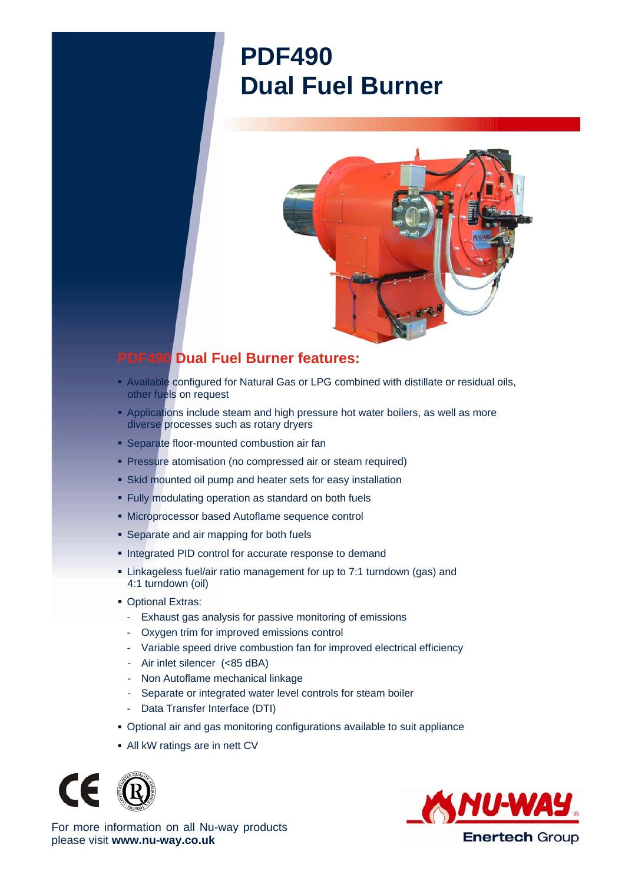## **PDF490 Dual Fuel Burner**



## **PDF490 Dual Fuel Burner features:**

- Available configured for Natural Gas or LPG combined with distillate or residual oils, other fuels on request
- **Applications include steam and high pressure hot water boilers, as well as more** diverse processes such as rotary dryers
- **Separate floor-mounted combustion air fan**
- **Pressure atomisation (no compressed air or steam required)**
- Skid mounted oil pump and heater sets for easy installation
- Fully modulating operation as standard on both fuels
- Microprocessor based Autoflame sequence control
- **Separate and air mapping for both fuels**
- **Integrated PID control for accurate response to demand**
- Linkageless fuel/air ratio management for up to 7:1 turndown (gas) and 4:1 turndown (oil)
- **Optional Extras:** 
	- Exhaust gas analysis for passive monitoring of emissions
	- Oxygen trim for improved emissions control
	- Variable speed drive combustion fan for improved electrical efficiency
	- Air inlet silencer (<85 dBA)
	- Non Autoflame mechanical linkage
	- Separate or integrated water level controls for steam boiler
	- Data Transfer Interface (DTI)
- Optional air and gas monitoring configurations available to suit appliance
- All kW ratings are in nett CV





For more information on all Nu-way products please visit **www.nu-way.co.uk**